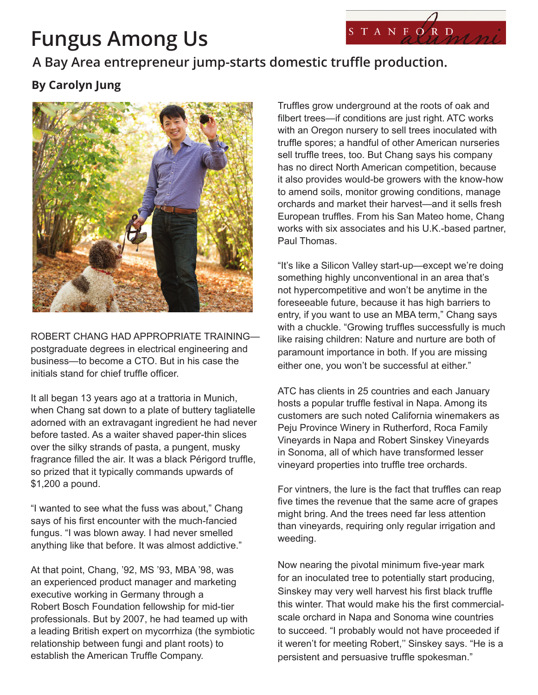## **Fungus Among Us**



## **A Bay Area entrepreneur jump-starts domestic truffle production.**

## **By Carolyn Jung**



ROBERT CHANG HAD APPROPRIATE TRAINING postgraduate degrees in electrical engineering and business—to become a CTO. But in his case the initials stand for chief truffle officer.

It all began 13 years ago at a trattoria in Munich, when Chang sat down to a plate of buttery tagliatelle adorned with an extravagant ingredient he had never before tasted. As a waiter shaved paper-thin slices over the silky strands of pasta, a pungent, musky fragrance filled the air. It was a black Périgord truffle, so prized that it typically commands upwards of \$1,200 a pound.

"I wanted to see what the fuss was about," Chang says of his first encounter with the much-fancied fungus. "I was blown away. I had never smelled anything like that before. It was almost addictive."

At that point, Chang, '92, MS '93, MBA '98, was an experienced product manager and marketing executive working in Germany through a Robert Bosch Foundation fellowship for mid-tier professionals. But by 2007, he had teamed up with a leading British expert on mycorrhiza (the symbiotic relationship between fungi and plant roots) to establish the American Truffle Company.

Truffles grow underground at the roots of oak and filbert trees—if conditions are just right. ATC works with an Oregon nursery to sell trees inoculated with truffle spores; a handful of other American nurseries sell truffle trees, too. But Chang says his company has no direct North American competition, because it also provides would-be growers with the know-how to amend soils, monitor growing conditions, manage orchards and market their harvest—and it sells fresh European truffles. From his San Mateo home, Chang works with six associates and his U.K.-based partner, Paul Thomas.

"It's like a Silicon Valley start-up—except we're doing something highly unconventional in an area that's not hypercompetitive and won't be anytime in the foreseeable future, because it has high barriers to entry, if you want to use an MBA term," Chang says with a chuckle. "Growing truffles successfully is much like raising children: Nature and nurture are both of paramount importance in both. If you are missing either one, you won't be successful at either."

ATC has clients in 25 countries and each January hosts a popular truffle festival in Napa. Among its customers are such noted California winemakers as Peju Province Winery in Rutherford, Roca Family Vineyards in Napa and Robert Sinskey Vineyards in Sonoma, all of which have transformed lesser vineyard properties into truffle tree orchards.

For vintners, the lure is the fact that truffles can reap five times the revenue that the same acre of grapes might bring. And the trees need far less attention than vineyards, requiring only regular irrigation and weeding.

Now nearing the pivotal minimum five-year mark for an inoculated tree to potentially start producing, Sinskey may very well harvest his first black truffle this winter. That would make his the first commercialscale orchard in Napa and Sonoma wine countries to succeed. "I probably would not have proceeded if it weren't for meeting Robert," Sinskey says. "He is a persistent and persuasive truffle spokesman."